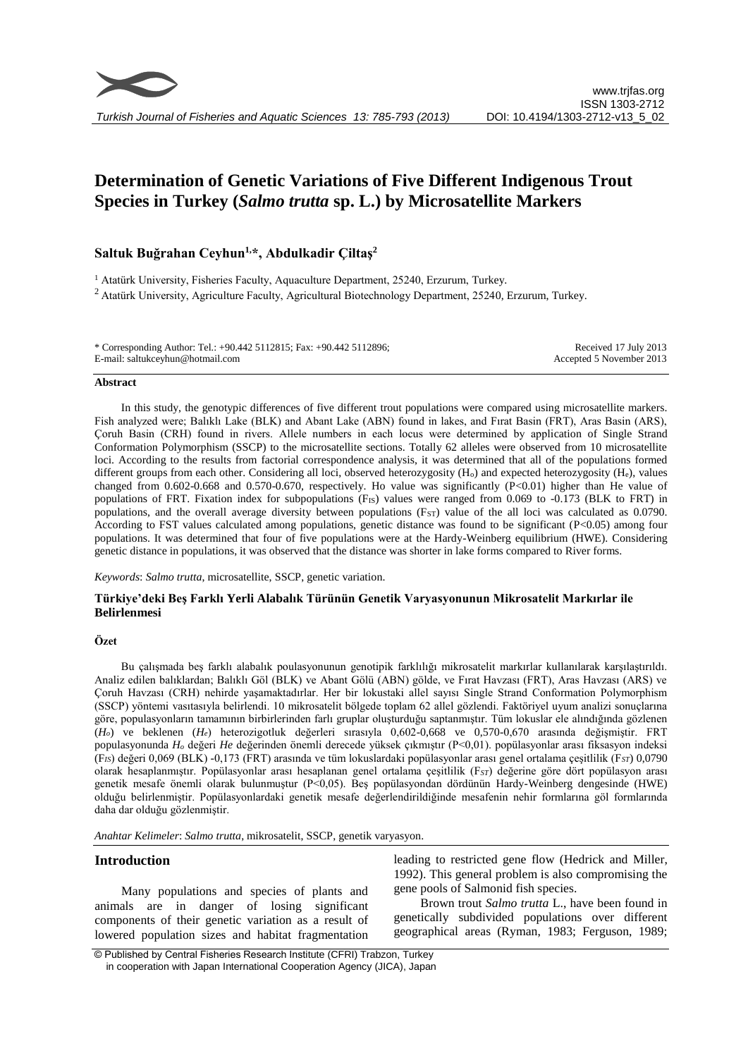

# **Determination of Genetic Variations of Five Different Indigenous Trout Species in Turkey (***Salmo trutta* **sp. L.) by Microsatellite Markers**

## **Saltuk Buğrahan Ceyhun1,\*, Abdulkadir Çiltaş<sup>2</sup>**

<sup>1</sup> Atatürk University, Fisheries Faculty, Aquaculture Department, 25240, Erzurum, Turkey. <sup>2</sup> Atatürk University, Agriculture Faculty, Agricultural Biotechnology Department, 25240, Erzurum, Turkey.

| * Corresponding Author: Tel.: +90.442 5112815; Fax: +90.442 5112896; | Received 17 July 2013    |
|----------------------------------------------------------------------|--------------------------|
| E-mail: saltukceyhun@hotmail.com                                     | Accepted 5 November 2013 |

#### **Abstract**

In this study, the genotypic differences of five different trout populations were compared using microsatellite markers. Fish analyzed were; Balıklı Lake (BLK) and Abant Lake (ABN) found in lakes, and Fırat Basin (FRT), Aras Basin (ARS), Çoruh Basin (CRH) found in rivers. Allele numbers in each locus were determined by application of Single Strand Conformation Polymorphism (SSCP) to the microsatellite sections. Totally 62 alleles were observed from 10 microsatellite loci. According to the results from factorial correspondence analysis, it was determined that all of the populations formed different groups from each other. Considering all loci, observed heterozygosity (H<sub>o</sub>) and expected heterozygosity (H<sub>e</sub>), values changed from 0.602-0.668 and 0.570-0.670, respectively. Ho value was significantly (P<0.01) higher than He value of populations of FRT. Fixation index for subpopulations (FIS) values were ranged from 0.069 to -0.173 (BLK to FRT) in populations, and the overall average diversity between populations (Fs<sub>T</sub>) value of the all loci was calculated as 0.0790. According to FST values calculated among populations, genetic distance was found to be significant (P<0.05) among four populations. It was determined that four of five populations were at the Hardy-Weinberg equilibrium (HWE). Considering genetic distance in populations, it was observed that the distance was shorter in lake forms compared to River forms.

*Keywords*: *Salmo trutta*, microsatellite, SSCP, genetic variation.

## **Türkiye'deki Beş Farklı Yerli Alabalık Türünün Genetik Varyasyonunun Mikrosatelit Markırlar ile Belirlenmesi**

#### **Özet**

Bu çalışmada beş farklı alabalık poulasyonunun genotipik farklılığı mikrosatelit markırlar kullanılarak karşılaştırıldı. Analiz edilen balıklardan; Balıklı Göl (BLK) ve Abant Gölü (ABN) gölde, ve Fırat Havzası (FRT), Aras Havzası (ARS) ve Çoruh Havzası (CRH) nehirde yaşamaktadırlar. Her bir lokustaki allel sayısı Single Strand Conformation Polymorphism (SSCP) yöntemi vasıtasıyla belirlendi. 10 mikrosatelit bölgede toplam 62 allel gözlendi. Faktöriyel uyum analizi sonuçlarına göre, populasyonların tamamının birbirlerinden farlı gruplar oluşturduğu saptanmıştır. Tüm lokuslar ele alındığında gözlenen (*Ho*) ve beklenen (*He*) heterozigotluk değerleri sırasıyla 0,602-0,668 ve 0,570-0,670 arasında değişmiştir. FRT populasyonunda *H<sup>o</sup>* değeri *He* değerinden önemli derecede yüksek çıkmıştır (P<0,01). popülasyonlar arası fiksasyon indeksi (F*IS*) değeri 0,069 (BLK) -0,173 (FRT) arasında ve tüm lokuslardaki popülasyonlar arası genel ortalama çeşitlilik (F*ST*) 0,0790 olarak hesaplanmıştır. Popülasyonlar arası hesaplanan genel ortalama çeşitlilik (F*ST*) değerine göre dört popülasyon arası genetik mesafe önemli olarak bulunmuştur (P<0,05). Beş popülasyondan dördünün Hardy-Weinberg dengesinde (HWE) olduğu belirlenmiştir. Popülasyonlardaki genetik mesafe değerlendirildiğinde mesafenin nehir formlarına göl formlarında daha dar olduğu gözlenmiştir.

*Anahtar Kelimeler*: *Salmo trutta*, mikrosatelit, SSCP, genetik varyasyon.

### **Introduction**

Many populations and species of plants and animals are in danger of losing significant components of their genetic variation as a result of lowered population sizes and habitat fragmentation leading to restricted gene flow (Hedrick and Miller, 1992). This general problem is also compromising the gene pools of Salmonid fish species.

Brown trout *Salmo trutta* L., have been found in genetically subdivided populations over different geographical areas (Ryman, 1983; Ferguson, 1989;

<sup>©</sup> Published by Central Fisheries Research Institute (CFRI) Trabzon, Turkey in cooperation with Japan International Cooperation Agency (JICA), Japan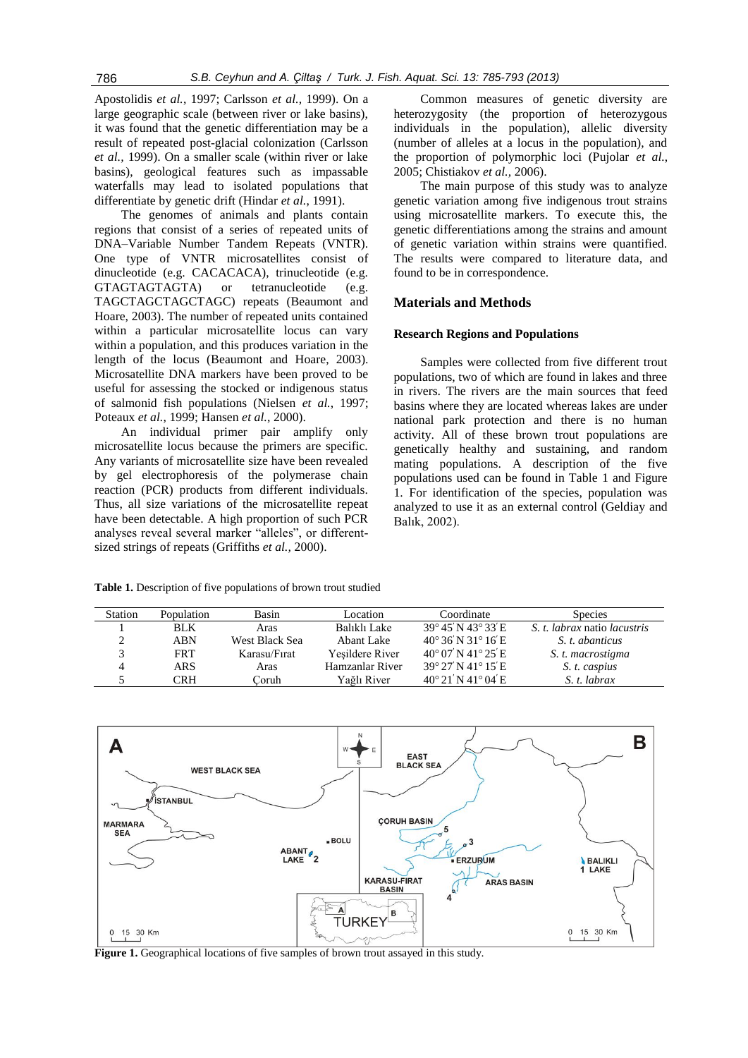Apostolidis *et al.*, 1997; Carlsson *et al.,* 1999). On a large geographic scale (between river or lake basins), it was found that the genetic differentiation may be a result of repeated post-glacial colonization (Carlsson *et al.,* 1999). On a smaller scale (within river or lake basins), geological features such as impassable waterfalls may lead to isolated populations that differentiate by genetic drift (Hindar *et al.*, 1991).

The genomes of animals and plants contain regions that consist of a series of repeated units of DNA–Variable Number Tandem Repeats (VNTR). One type of VNTR microsatellites consist of dinucleotide (e.g. CACACACA), trinucleotide (e.g. GTAGTAGTAGTA) or tetranucleotide (e.g. TAGCTAGCTAGCTAGC) repeats (Beaumont and Hoare, 2003). The number of repeated units contained within a particular microsatellite locus can vary within a population, and this produces variation in the length of the locus (Beaumont and Hoare, 2003). Microsatellite DNA markers have been proved to be useful for assessing the stocked or indigenous status of salmonid fish populations (Nielsen *et al.*, 1997; Poteaux *et al.*, 1999; Hansen *et al.*, 2000).

An individual primer pair amplify only microsatellite locus because the primers are specific. Any variants of microsatellite size have been revealed by gel electrophoresis of the polymerase chain reaction (PCR) products from different individuals. Thus, all size variations of the microsatellite repeat have been detectable. A high proportion of such PCR analyses reveal several marker "alleles", or differentsized strings of repeats (Griffiths *et al.,* 2000).

Common measures of genetic diversity are heterozygosity (the proportion of heterozygous individuals in the population), allelic diversity (number of alleles at a locus in the population), and the proportion of polymorphic loci (Pujolar *et al.*, 2005; Chistiakov *et al.,* 2006).

The main purpose of this study was to analyze genetic variation among five indigenous trout strains using microsatellite markers. To execute this, the genetic differentiations among the strains and amount of genetic variation within strains were quantified. The results were compared to literature data, and found to be in correspondence.

## **Materials and Methods**

## **Research Regions and Populations**

Samples were collected from five different trout populations, two of which are found in lakes and three in rivers. The rivers are the main sources that feed basins where they are located whereas lakes are under national park protection and there is no human activity. All of these brown trout populations are genetically healthy and sustaining, and random mating populations. A description of the five populations used can be found in Table 1 and Figure 1. For identification of the species, population was analyzed to use it as an external control (Geldiay and Balık, 2002).

**Table 1.** Description of five populations of brown trout studied

| <b>Station</b> | Population | Basin          | Location        | Coordinate                            | <b>Species</b>               |
|----------------|------------|----------------|-----------------|---------------------------------------|------------------------------|
|                | <b>BLK</b> | Aras           | Balıklı Lake    | $39^{\circ}45'$ N $43^{\circ}33'$ E   | S. t. labrax natio lacustris |
|                | ABN        | West Black Sea | Abant Lake      | $40^{\circ}$ 36' N 31° 16' E          | S. t. abanticus              |
|                | <b>FRT</b> | Karasu/Firat   | Yesildere River | $40^{\circ}$ 07' N $41^{\circ}$ 25' E | S. t. macrostigma            |
|                | ARS        | Aras           | Hamzanlar River | $39^{\circ}$ 27' N 41° 15' E          | S. t. caspius                |
|                | CRH        | Coruh          | Yağlı River     | $40^{\circ}21'$ N $41^{\circ}04'$ E   | S. t. labrax                 |



**Figure 1.** Geographical locations of five samples of brown trout assayed in this study.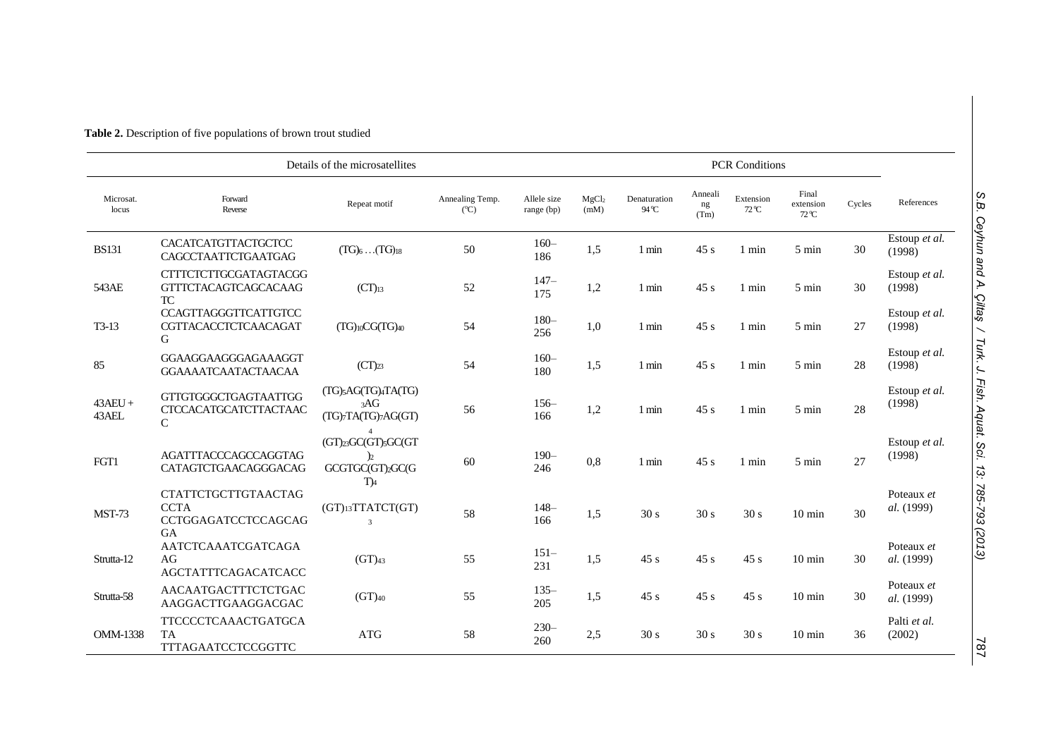| Details of the microsatellites |                                                                          |                                                                                                       |                                  | <b>PCR Conditions</b>     |                           |                       |                       |                    |                                     |        |                          |
|--------------------------------|--------------------------------------------------------------------------|-------------------------------------------------------------------------------------------------------|----------------------------------|---------------------------|---------------------------|-----------------------|-----------------------|--------------------|-------------------------------------|--------|--------------------------|
| Microsat.<br>locus             | Forward<br>Reverse                                                       | Repeat motif                                                                                          | Annealing Temp.<br>$(^{\circ}C)$ | Allele size<br>range (bp) | MgCl <sub>2</sub><br>(mM) | Denaturation<br>94 °C | Anneali<br>ng<br>(Tm) | Extension<br>72 °C | Final<br>extension<br>$72^{\circ}C$ | Cycles | References               |
| <b>BS131</b>                   | CACATCATGTTACTGCTCC<br>CAGCCTAATTCTGAATGAG                               | $(TG)_6$ $(TG)_{18}$                                                                                  | 50                               | $160 -$<br>186            | 1,5                       | 1 min                 | 45 s                  | 1 min              | 5 min                               | 30     | Estoup et al.<br>(1998)  |
| 543AE                          | <b>CTTTCTCTTGCGATAGTACGG</b><br><b>GTTTCTACAGTCAGCACAAG</b><br><b>TC</b> | $(CT)_{13}$                                                                                           | 52                               | $147-$<br>175             | 1,2                       | 1 min                 | 45s                   | $1$ min            | 5 min                               | 30     | Estoup et al.<br>(1998)  |
| $T3-13$                        | <b>CCAGTTAGGGTTCATTGTCC</b><br><b>CGTTACACCTCTCAACAGAT</b><br>G          | $(TG)_{10}CG(TG)_{40}$                                                                                | 54                               | $180 -$<br>256            | 1,0                       | 1 min                 | 45 s                  | $1$ min            | 5 min                               | 27     | Estoup et al.<br>(1998)  |
| 85                             | GGAAGGAAGGGAGAAAGGT<br><b>GGAAAATCAATACTAACAA</b>                        | $(CT)_{23}$                                                                                           | 54                               | $160 -$<br>180            | 1,5                       | $1 \text{ min}$       | 45 s                  | $1$ min            | $5 \text{ min}$                     | 28     | Estoup et al.<br>(1998)  |
| $43AEU +$<br>43AEL             | GTTGTGGGCTGAGTAATTGG<br><b>CTCCACATGCATCTTACTAAC</b><br>$\mathcal{C}$    | (TG) <sub>5</sub> AG(TG) <sub>4</sub> TA(TG)<br>3AG<br>$(TG)$ <sub>7</sub> TA(TG) <sub>7</sub> AG(GT) | 56                               | $156-$<br>166             | 1,2                       | 1 min                 | 45 s                  | $1$ min            | $5 \text{ min}$                     | 28     | Estoup et al.<br>(1998)  |
| FGT1                           | <b>AGATTTACCCAGCCAGGTAG</b><br>CATAGTCTGAACAGGGACAG                      | (GT)23GC(GT)5GC(GT<br>$\overline{2}$<br>GCGTGC(GT)2GC(G<br>$T_A$                                      | 60                               | $190 -$<br>246            | 0,8                       | $1 \text{ min}$       | 45 s                  | $1$ min            | $5 \text{ min}$                     | 27     | Estoup et al.<br>(1998)  |
| MST-73                         | <b>CTATTCTGCTTGTAACTAG</b><br><b>CCTA</b><br>CCTGGAGATCCTCCAGCAG<br>GA   | (GT)13TTATCT(GT)<br>$\overline{\mathbf{3}}$                                                           | 58                               | $148-$<br>166             | 1,5                       | 30 s                  | 30 s                  | 30 s               | $10 \text{ min}$                    | 30     | Poteaux et<br>al. (1999) |
| Strutta-12                     | AATCTCAAATCGATCAGA<br>AG<br><b>AGCTATTTCAGACATCACC</b>                   | $(GT)_{43}$                                                                                           | 55                               | $151 -$<br>231            | 1,5                       | 45 s                  | 45 s                  | 45 s               | $10 \text{ min}$                    | 30     | Poteaux et<br>al. (1999) |
| Strutta-58                     | AACAATGACTTTCTCTGAC<br>AAGGACTTGAAGGACGAC                                | $(GT)_{40}$                                                                                           | 55                               | $135 -$<br>205            | 1,5                       | 45 s                  | 45 s                  | 45 s               | $10 \text{ min}$                    | 30     | Poteaux et<br>al. (1999) |
| <b>OMM-1338</b>                | TTCCCCTCAAACTGATGCA<br><b>TA</b><br>TTTAGAATCCTCCGGTTC                   | <b>ATG</b>                                                                                            | 58                               | $230 -$<br>260            | 2,5                       | 30 s                  | 30 s                  | 30 s               | $10 \text{ min}$                    | 36     | Palti et al.<br>(2002)   |

**Table 2.** Description of five populations of brown trout studied

787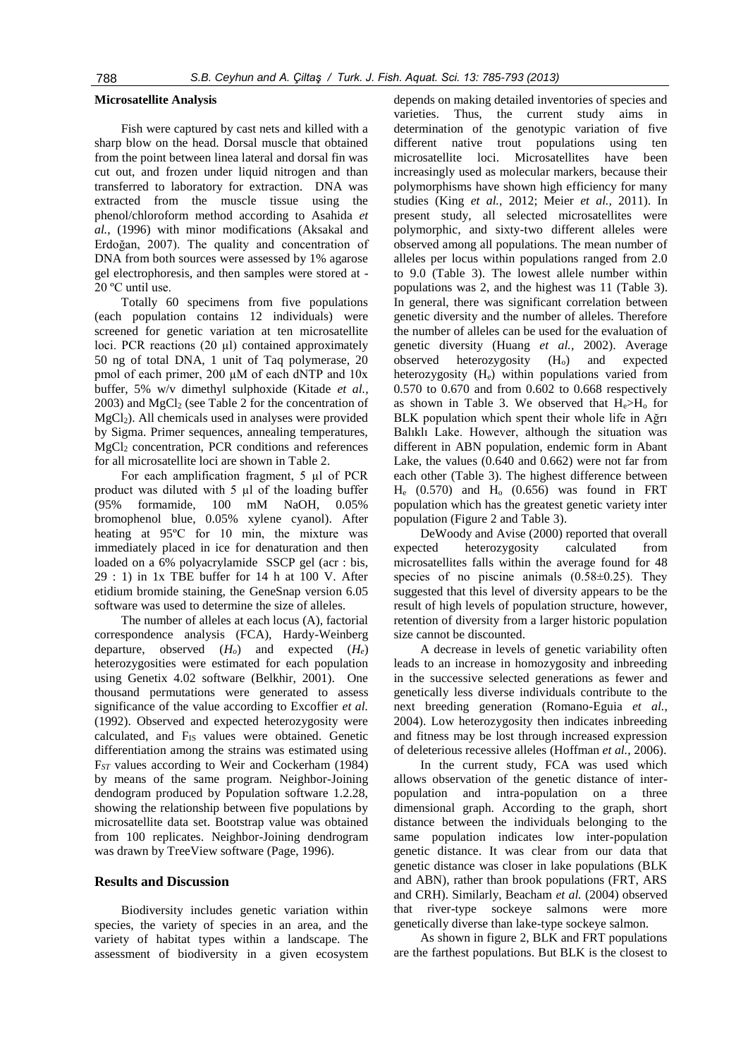#### **Microsatellite Analysis**

Fish were captured by cast nets and killed with a sharp blow on the head. Dorsal muscle that obtained from the point between linea lateral and dorsal fin was cut out, and frozen under liquid nitrogen and than transferred to laboratory for extraction. DNA was extracted from the muscle tissue using the phenol/chloroform method according to Asahida *et al.*, (1996) with minor modifications (Aksakal and Erdoğan, 2007). The quality and concentration of DNA from both sources were assessed by 1% agarose gel electrophoresis, and then samples were stored at - 20 ºC until use.

Totally 60 specimens from five populations (each population contains 12 individuals) were screened for genetic variation at ten microsatellite loci. PCR reactions (20 µl) contained approximately 50 ng of total DNA, 1 unit of Taq polymerase, 20 pmol of each primer, 200  $\mu$ M of each dNTP and 10x buffer, 5% w/v dimethyl sulphoxide (Kitade *et al.,*  $2003$ ) and MgCl<sub>2</sub> (see Table 2 for the concentration of MgCl2). All chemicals used in analyses were provided by Sigma. Primer sequences, annealing temperatures, MgCl<sub>2</sub> concentration, PCR conditions and references for all microsatellite loci are shown in Table 2.

For each amplification fragment, 5 µl of PCR product was diluted with 5 µl of the loading buffer (95% formamide, 100 mM NaOH, 0.05% bromophenol blue, 0.05% xylene cyanol). After heating at 95ºC for 10 min, the mixture was immediately placed in ice for denaturation and then loaded on a 6% polyacrylamide SSCP gel (acr : bis, 29 : 1) in 1x TBE buffer for 14 h at 100 V. After etidium bromide staining, the GeneSnap version 6.05 software was used to determine the size of alleles.

The number of alleles at each locus (A), factorial correspondence analysis (FCA), Hardy-Weinberg departure, observed (*Ho*) and expected (*He*) heterozygosities were estimated for each population using Genetix 4.02 software (Belkhir, 2001). One thousand permutations were generated to assess significance of the value according to Excoffier *et al.* (1992). Observed and expected heterozygosity were calculated, and F<sub>IS</sub> values were obtained. Genetic differentiation among the strains was estimated using F*ST* values according to Weir and Cockerham (1984) by means of the same program. Neighbor-Joining dendogram produced by Population software 1.2.28, showing the relationship between five populations by microsatellite data set. Bootstrap value was obtained from 100 replicates. Neighbor-Joining dendrogram was drawn by TreeView software (Page, 1996).

#### **Results and Discussion**

Biodiversity includes genetic variation within species, the variety of species in an area, and the variety of habitat types within a landscape. The assessment of biodiversity in a given ecosystem

depends on making detailed inventories of species and varieties. Thus, the current study aims in determination of the genotypic variation of five different native trout populations using ten microsatellite loci. Microsatellites have been increasingly used as molecular markers, because their polymorphisms have shown high efficiency for many studies (King *et al.*, 2012; Meier *et al.,* 2011). In present study, all selected microsatellites were polymorphic, and sixty-two different alleles were observed among all populations. The mean number of alleles per locus within populations ranged from 2.0 to 9.0 (Table 3). The lowest allele number within populations was 2, and the highest was 11 (Table 3). In general, there was significant correlation between genetic diversity and the number of alleles. Therefore the number of alleles can be used for the evaluation of genetic diversity (Huang *et al.*, 2002). Average observed heterozygosity (H<sub>o</sub>) and expected heterozygosity (He) within populations varied from 0.570 to 0.670 and from 0.602 to 0.668 respectively as shown in Table 3. We observed that  $H_e>H_o$  for BLK population which spent their whole life in Ağrı Balıklı Lake. However, although the situation was different in ABN population, endemic form in Abant Lake, the values (0.640 and 0.662) were not far from each other (Table 3). The highest difference between  $H_e$  (0.570) and  $H_o$  (0.656) was found in FRT population which has the greatest genetic variety inter population (Figure 2 and Table 3).

DeWoody and Avise (2000) reported that overall expected heterozygosity calculated from microsatellites falls within the average found for 48 species of no piscine animals  $(0.58\pm0.25)$ . They suggested that this level of diversity appears to be the result of high levels of population structure, however, retention of diversity from a larger historic population size cannot be discounted.

A decrease in levels of genetic variability often leads to an increase in homozygosity and inbreeding in the successive selected generations as fewer and genetically less diverse individuals contribute to the next breeding generation (Romano-Eguia *et al.*, 2004). Low heterozygosity then indicates inbreeding and fitness may be lost through increased expression of deleterious recessive alleles (Hoffman *et al.*, 2006).

In the current study, FCA was used which allows observation of the genetic distance of interpopulation and intra-population on a three dimensional graph. According to the graph, short distance between the individuals belonging to the same population indicates low inter-population genetic distance. It was clear from our data that genetic distance was closer in lake populations (BLK and ABN), rather than brook populations (FRT, ARS and CRH). Similarly, Beacham *et al.* (2004) observed that river-type sockeye salmons were more genetically diverse than lake-type sockeye salmon.

As shown in figure 2, BLK and FRT populations are the farthest populations. But BLK is the closest to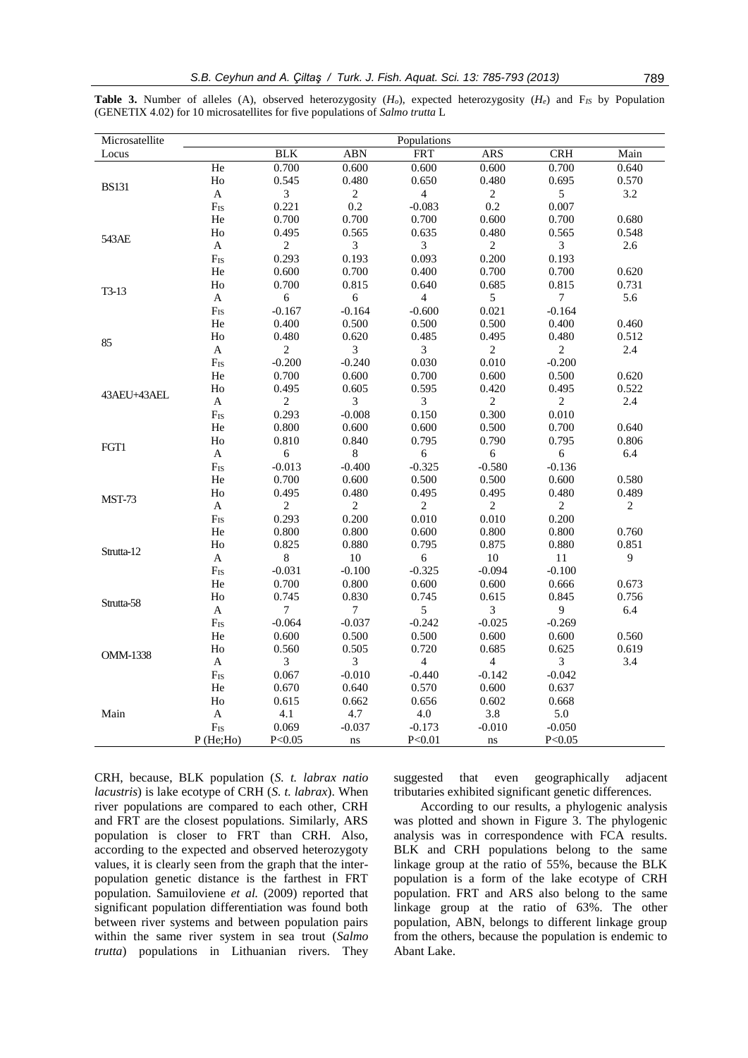**Table 3.** Number of alleles (A), observed heterozygosity (*Ho*), expected heterozygosity (*He*) and F*IS* by Population (GENETIX 4.02) for 10 microsatellites for five populations of *Salmo trutta* L

| Microsatellite  |                           |                |                | Populations    |                |                |            |
|-----------------|---------------------------|----------------|----------------|----------------|----------------|----------------|------------|
| Locus           |                           | <b>BLK</b>     | <b>ABN</b>     | <b>FRT</b>     | <b>ARS</b>     | CRH            | Main       |
|                 | He                        | 0.700          | 0.600          | 0.600          | 0.600          | 0.700          | 0.640      |
| <b>BS131</b>    | Ho                        | 0.545          | 0.480          | 0.650          | 0.480          | 0.695          | 0.570      |
|                 | $\mathbf A$               | $\mathfrak{Z}$ | $\sqrt{2}$     | $\overline{4}$ | $\sqrt{2}$     | 5              | 3.2        |
|                 | $F_{IS}$                  | 0.221          | 0.2            | $-0.083$       | 0.2            | 0.007          |            |
|                 | He                        | 0.700          | 0.700          | 0.700          | 0.600          | 0.700          | 0.680      |
|                 | Ho                        | 0.495          | 0.565          | 0.635          | 0.480          | 0.565          | 0.548      |
| 543AE           | A                         | $\overline{2}$ | $\mathfrak{Z}$ | $\mathfrak{Z}$ | $\sqrt{2}$     | $\overline{3}$ | 2.6        |
|                 | $F_{IS}$                  | 0.293          | 0.193          | 0.093          | 0.200          | 0.193          |            |
|                 | He                        | 0.600          | 0.700          | 0.400          | 0.700          | 0.700          | 0.620      |
|                 | H <sub>o</sub>            | 0.700          | 0.815          | 0.640          | 0.685          | 0.815          | 0.731      |
| $T3-13$         | A                         | 6              | 6              | $\overline{4}$ | 5              | 7              | 5.6        |
|                 | F <sub>IS</sub>           | $-0.167$       | $-0.164$       | $-0.600$       | 0.021          | $-0.164$       |            |
|                 | He                        | 0.400          | 0.500          | 0.500          | 0.500          | 0.400          | 0.460      |
|                 | Ho                        | 0.480          | 0.620          | 0.485          | 0.495          | 0.480          | 0.512      |
| 85              | $\mathbf A$               | $\sqrt{2}$     | $\mathfrak{Z}$ | 3              | $\sqrt{2}$     | $\sqrt{2}$     | 2.4        |
|                 | $F_{IS}$                  | $-0.200$       | $-0.240$       | 0.030          | 0.010          | $-0.200$       |            |
|                 | $\rm He$                  | 0.700          | 0.600          | 0.700          | 0.600          | 0.500          | 0.620      |
|                 | Ho                        | 0.495          | 0.605          | 0.595          | 0.420          | 0.495          | 0.522      |
| 43AEU+43AEL     | $\boldsymbol{\mathsf{A}}$ | $\overline{2}$ | $\mathfrak{Z}$ | $\mathfrak{Z}$ | $\overline{2}$ | $\overline{2}$ | 2.4        |
|                 | F <sub>IS</sub>           | 0.293          | $-0.008$       | 0.150          | 0.300          | 0.010          |            |
|                 | He                        | 0.800          | 0.600          | 0.600          | 0.500          | 0.700          | 0.640      |
|                 | Ho                        | 0.810          | 0.840          | 0.795          | 0.790          | 0.795          | 0.806      |
| FGT1            | $\mathbf A$               | $6\,$          | $\,8\,$        | $\sqrt{6}$     | $\sqrt{6}$     | $6\,$          | 6.4        |
|                 | $F_{IS}$                  | $-0.013$       | $-0.400$       | $-0.325$       | $-0.580$       | $-0.136$       |            |
|                 | He                        | 0.700          | 0.600          | 0.500          | 0.500          | 0.600          | 0.580      |
|                 | Ho                        | 0.495          | 0.480          | 0.495          | 0.495          | 0.480          | 0.489      |
| <b>MST-73</b>   | $\boldsymbol{\mathsf{A}}$ | $\sqrt{2}$     | $\sqrt{2}$     | $\sqrt{2}$     | $\sqrt{2}$     | $\sqrt{2}$     | $\sqrt{2}$ |
|                 | $F_{IS}$                  | 0.293          | 0.200          | 0.010          | 0.010          | 0.200          |            |
|                 | He                        | 0.800          | 0.800          | 0.600          | 0.800          | 0.800          | 0.760      |
|                 | H <sub>o</sub>            | 0.825          | 0.880          | 0.795          | 0.875          | 0.880          | 0.851      |
| Strutta-12      | A                         | $8\,$          | $10\,$         | $\sqrt{6}$     | $10\,$         | 11             | 9          |
|                 | $F_{IS}$                  | $-0.031$       | $-0.100$       | $-0.325$       | $-0.094$       | $-0.100$       |            |
|                 |                           |                |                |                |                |                |            |
|                 | He                        | 0.700          | 0.800          | 0.600          | 0.600          | 0.666          | 0.673      |
| Strutta-58      | Ho                        | 0.745          | 0.830          | 0.745          | 0.615          | 0.845          | 0.756      |
|                 | A                         | $\tau$         | $\tau$         | 5              | 3              | $\overline{9}$ | 6.4        |
|                 | $F_{IS}$                  | $-0.064$       | $-0.037$       | $-0.242$       | $-0.025$       | $-0.269$       |            |
|                 | $\rm He$                  | 0.600          | 0.500          | 0.500          | 0.600          | 0.600          | 0.560      |
| <b>OMM-1338</b> | Ho                        | 0.560          | 0.505          | 0.720          | 0.685          | 0.625          | 0.619      |
|                 | A                         | 3              | 3              | $\overline{4}$ | $\overline{4}$ | 3              | 3.4        |
|                 | $F_{IS}$                  | 0.067          | $-0.010$       | $-0.440$       | $-0.142$       | $-0.042$       |            |
|                 | He                        | 0.670          | 0.640          | 0.570          | 0.600          | 0.637          |            |
|                 | Ho                        | 0.615          | 0.662          | 0.656          | 0.602          | 0.668          |            |
| Main            | A                         | 4.1            | 4.7            | 4.0            | 3.8            | 5.0            |            |
|                 | $F_{IS}$                  | 0.069          | $-0.037$       | $-0.173$       | $-0.010$       | $-0.050$       |            |
|                 | $P$ (He;Ho)               | P < 0.05       | ns             | P < 0.01       | ns             | P < 0.05       |            |

CRH, because, BLK population (*S. t. labrax natio lacustris*) is lake ecotype of CRH (*S. t. labrax*). When river populations are compared to each other, CRH and FRT are the closest populations. Similarly, ARS population is closer to FRT than CRH. Also, according to the expected and observed heterozygoty values, it is clearly seen from the graph that the interpopulation genetic distance is the farthest in FRT population. Samuiloviene *et al.* (2009) reported that significant population differentiation was found both between river systems and between population pairs within the same river system in sea trout (*Salmo trutta*) populations in Lithuanian rivers. They

suggested that even geographically adjacent tributaries exhibited significant genetic differences.

According to our results, a phylogenic analysis was plotted and shown in Figure 3. The phylogenic analysis was in correspondence with FCA results. BLK and CRH populations belong to the same linkage group at the ratio of 55%, because the BLK population is a form of the lake ecotype of CRH population. FRT and ARS also belong to the same linkage group at the ratio of 63%. The other population, ABN, belongs to different linkage group from the others, because the population is endemic to Abant Lake.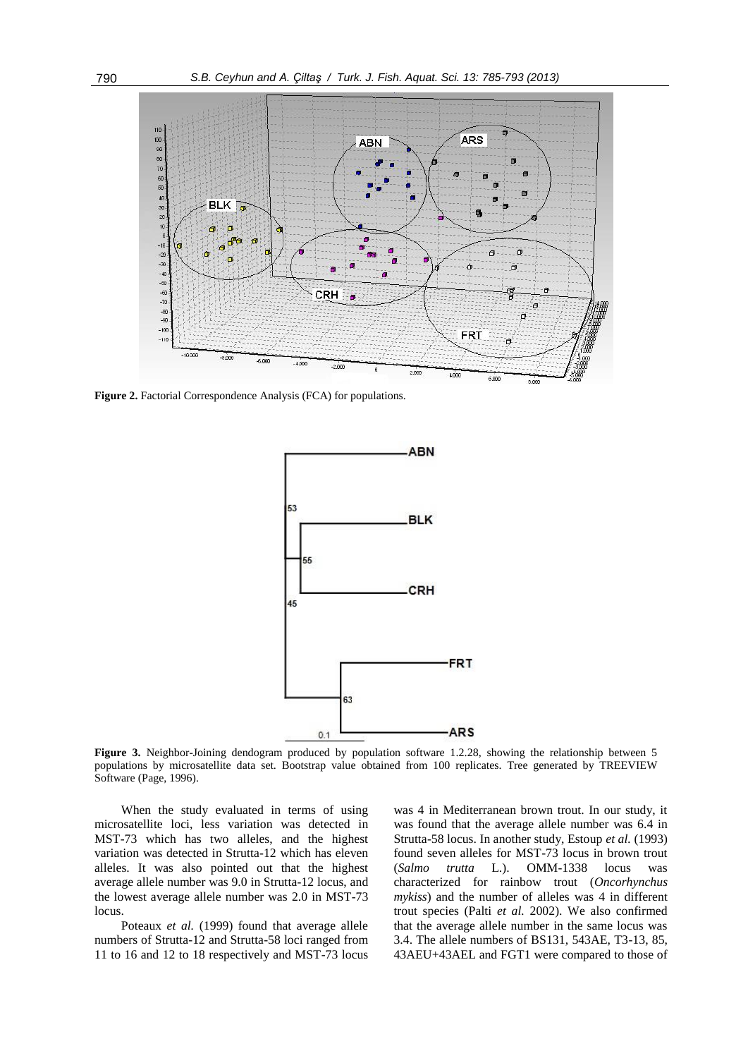

Figure 2. Factorial Correspondence Analysis (FCA) for populations.



**Figure 3.** Neighbor-Joining dendogram produced by population software 1.2.28, showing the relationship between 5 populations by microsatellite data set. Bootstrap value obtained from 100 replicates. Tree generated by TREEVIEW Software (Page, 1996).

When the study evaluated in terms of using microsatellite loci, less variation was detected in MST-73 which has two alleles, and the highest variation was detected in Strutta-12 which has eleven alleles. It was also pointed out that the highest average allele number was 9.0 in Strutta-12 locus, and the lowest average allele number was 2.0 in MST-73 locus.

Poteaux *et al.* (1999) found that average allele numbers of Strutta-12 and Strutta-58 loci ranged from 11 to 16 and 12 to 18 respectively and MST-73 locus

was 4 in Mediterranean brown trout. In our study, it was found that the average allele number was 6.4 in Strutta-58 locus. In another study, Estoup *et al.* (1993) found seven alleles for MST-73 locus in brown trout (*Salmo trutta* L.). OMM-1338 locus was characterized for rainbow trout (*Oncorhynchus mykiss*) and the number of alleles was 4 in different trout species (Palti *et al.* 2002). We also confirmed that the average allele number in the same locus was 3.4. The allele numbers of BS131, 543AE, T3-13, 85, 43AEU+43AEL and FGT1 were compared to those of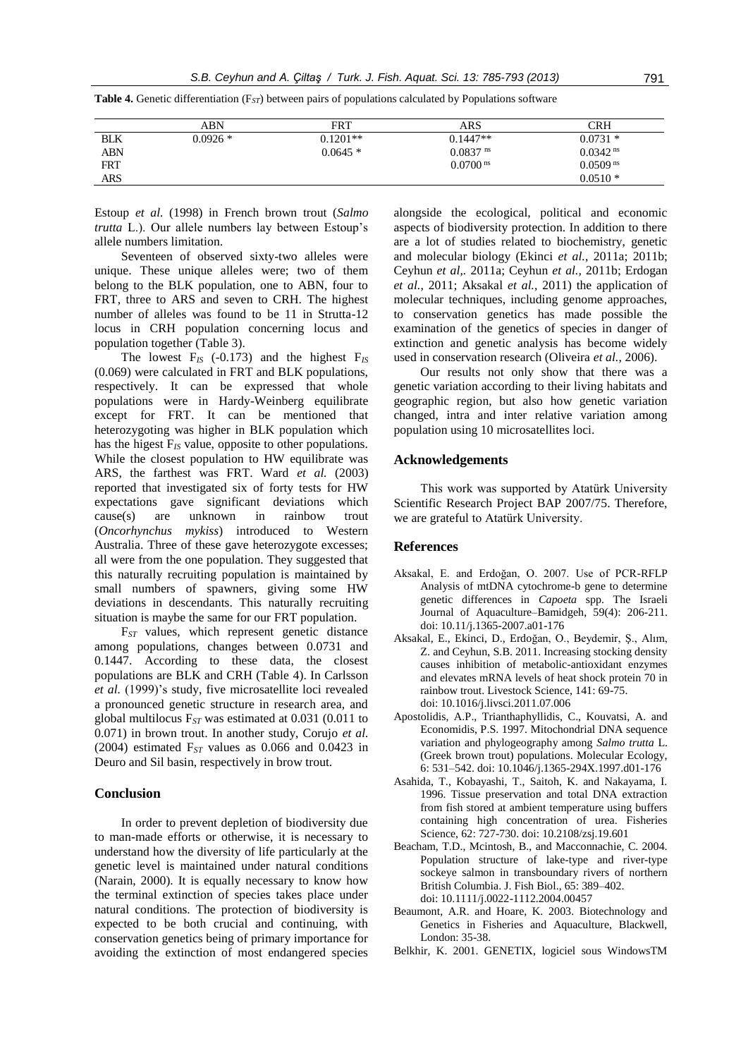|            | ABN       | FRT        | ARS                    | <b>CRH</b>             |
|------------|-----------|------------|------------------------|------------------------|
| <b>BLK</b> | $0.0926*$ | $0.1201**$ | $0.1447**$             | $0.0731*$              |
| <b>ABN</b> |           | $0.0645*$  | $0.0837$ <sup>ns</sup> | $0.0342$ <sup>ns</sup> |
| <b>FRT</b> |           |            | $0.0700$ <sup>ns</sup> | $0.0509$ <sup>ns</sup> |
| <b>ARS</b> |           |            |                        | $0.0510*$              |

**Table 4.** Genetic differentiation (F*ST*) between pairs of populations calculated by Populations software

Estoup *et al.* (1998) in French brown trout (*Salmo trutta* L.). Our allele numbers lay between Estoup's allele numbers limitation.

Seventeen of observed sixty-two alleles were unique. These unique alleles were; two of them belong to the BLK population, one to ABN, four to FRT, three to ARS and seven to CRH. The highest number of alleles was found to be 11 in Strutta-12 locus in CRH population concerning locus and population together (Table 3).

The lowest F*IS* (-0.173) and the highest F*IS* (0.069) were calculated in FRT and BLK populations, respectively. It can be expressed that whole populations were in Hardy-Weinberg equilibrate except for FRT. It can be mentioned that heterozygoting was higher in BLK population which has the higest F*IS* value, opposite to other populations. While the closest population to HW equilibrate was ARS, the farthest was FRT. Ward et al. (2003) reported that investigated six of forty tests for HW expectations gave significant deviations which cause(s) are unknown in rainbow trout (*Oncorhynchus mykiss*) introduced to Western Australia. Three of these gave heterozygote excesses; all were from the one population. They suggested that this naturally recruiting population is maintained by small numbers of spawners, giving some HW deviations in descendants. This naturally recruiting situation is maybe the same for our FRT population.

F*ST* values, which represent genetic distance among populations, changes between 0.0731 and 0.1447. According to these data, the closest populations are BLK and CRH (Table 4). In Carlsson *et al.* (1999)'s study, five microsatellite loci revealed a pronounced genetic structure in research area, and global multilocus F*ST* was estimated at 0.031 (0.011 to 0.071) in brown trout. In another study, Corujo *et al.* (2004) estimated  $F_{ST}$  values as 0.066 and 0.0423 in Deuro and Sil basin, respectively in brow trout.

#### **Conclusion**

In order to prevent depletion of biodiversity due to man-made efforts or otherwise, it is necessary to understand how the diversity of life particularly at the genetic level is maintained under natural conditions (Narain, 2000). It is equally necessary to know how the terminal extinction of species takes place under natural conditions. The protection of biodiversity is expected to be both crucial and continuing, with conservation genetics being of primary importance for avoiding the extinction of most endangered species

alongside the ecological, political and economic aspects of biodiversity protection. In addition to there are a lot of studies related to biochemistry, genetic and molecular biology (Ekinci *et al.*, 2011a; 2011b; Ceyhun *et al,.* 2011a; Ceyhun *et al.,* 2011b; Erdogan *et al.*, 2011; Aksakal *et al.,* 2011) the application of molecular techniques, including genome approaches, to conservation genetics has made possible the examination of the genetics of species in danger of extinction and genetic analysis has become widely used in conservation research (Oliveira *et al.*, 2006).

Our results not only show that there was a genetic variation according to their living habitats and geographic region, but also how genetic variation changed, intra and inter relative variation among population using 10 microsatellites loci.

#### **Acknowledgements**

This work was supported by Atatürk University Scientific Research Project BAP 2007/75. Therefore, we are grateful to Atatürk University.

## **References**

- Aksakal, E. and Erdoğan, O. 2007. Use of PCR-RFLP Analysis of mtDNA cytochrome-b gene to determine genetic differences in *Capoeta* spp. The Israeli Journal of Aquaculture–Bamidgeh, 59(4): 206-211. doi: 10.11/j.1365-2007.a01-176
- Aksakal, E., Ekinci, D., Erdoğan, O., Beydemir, Ş., Alım, Z. and Ceyhun, S.B. 2011. Increasing stocking density causes inhibition of metabolic-antioxidant enzymes and elevates mRNA levels of heat shock protein 70 in rainbow trout. Livestock Science, 141: 69-75. doi: 10.1016/j.livsci.2011.07.006
- Apostolidis, A.P., Trianthaphyllidis, C., Kouvatsi, A. and Economidis, P.S. 1997. Mitochondrial DNA sequence variation and phylogeography among *Salmo trutta* L. (Greek brown trout) populations. Molecular Ecology, 6: 531–542. doi: 10.1046/j.1365-294X.1997.d01-176
- Asahida, T., Kobayashi, T., Saitoh, K. and Nakayama, I. 1996. Tissue preservation and total DNA extraction from fish stored at ambient temperature using buffers containing high concentration of urea. Fisheries Science, 62: 727-730. doi: 10.2108/zsj.19.601
- Beacham, T.D., Mcintosh, B., and Macconnachie, C. 2004. Population structure of lake-type and river-type sockeye salmon in transboundary rivers of northern British Columbia. J. Fish Biol., 65: 389–402. doi: 10.1111/j.0022-1112.2004.00457
- Beaumont, A.R. and Hoare, K. 2003. Biotechnology and Genetics in Fisheries and Aquaculture, Blackwell, London: 35-38.
- Belkhir, K. 2001. GENETIX, logiciel sous WindowsTM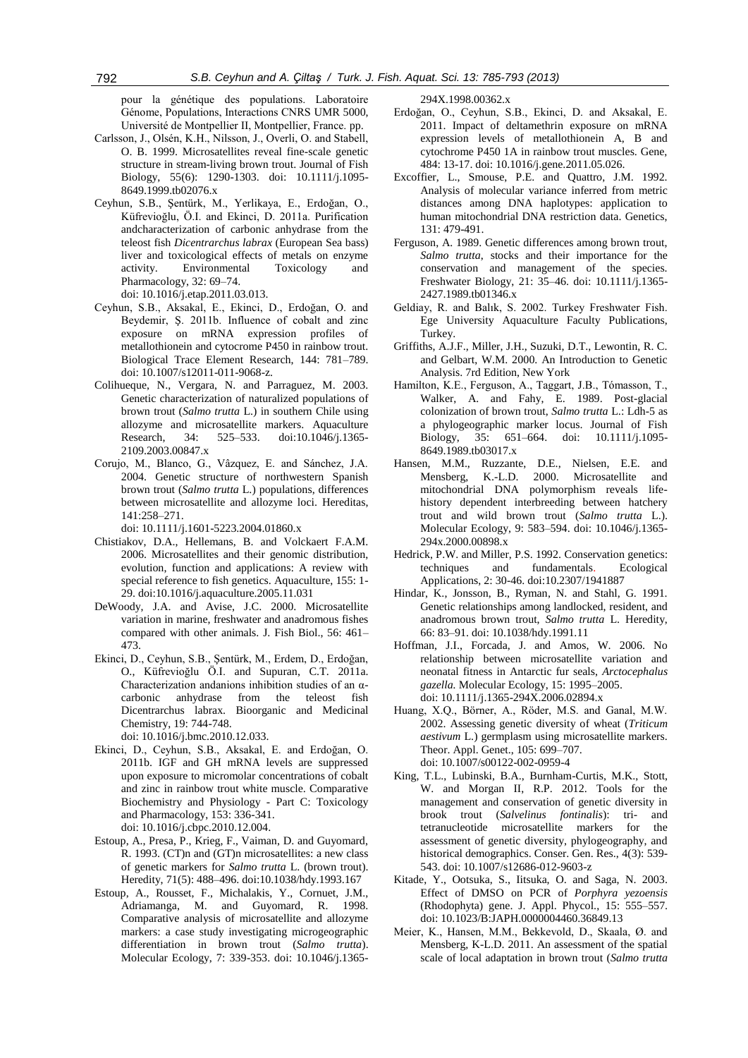pour la génétique des populations. Laboratoire Génome, Populations, Interactions CNRS UMR 5000, Université de Montpellier II, Montpellier, France. pp.

- Carlsson, J., Olsén, K.H., Nilsson, J., Overli, O. and Stabell, O. B. 1999. Microsatellites reveal fine-scale genetic structure in stream-living brown trout. Journal of Fish Biology, 55(6): 1290-1303. doi: 10.1111/j.1095- 8649.1999.tb02076.x
- Ceyhun, S.B., Şentürk, M., Yerlikaya, E., Erdoğan, O., Küfrevioğlu, Ö.I. and Ekinci, D. 2011a. Purification andcharacterization of carbonic anhydrase from the teleost fish *Dicentrarchus labrax* (European Sea bass) liver and toxicological effects of metals on enzyme activity. Environmental Toxicology and Pharmacology, 32: 69–74. doi: 10.1016/j.etap.2011.03.013.
- Ceyhun, S.B., Aksakal, E., Ekinci, D., Erdoğan, O. and Beydemir, Ş. 2011b. Influence of cobalt and zinc exposure on mRNA expression profiles of metallothionein and cytocrome P450 in rainbow trout. Biological Trace Element Research, 144: 781–789. doi: 10.1007/s12011-011-9068-z.
- Colihueque, N., Vergara, N. and Parraguez, M. 2003. Genetic characterization of naturalized populations of brown trout (*Salmo trutta* L.) in southern Chile using allozyme and microsatellite markers. Aquaculture Research, 34: 525–533. doi:10.1046/j.1365- 2109.2003.00847.x
- Corujo, M., Blanco, G., Vâzquez, E. and Sánchez, J.A. 2004. Genetic structure of northwestern Spanish brown trout (*Salmo trutta* L.) populations, differences between microsatellite and allozyme loci. Hereditas, 141:258–271.

doi: 10.1111/j.1601-5223.2004.01860.x

- Chistiakov, D.A., Hellemans, B. and Volckaert F.A.M. 2006. Microsatellites and their genomic distribution, evolution, function and applications: A review with special reference to fish genetics. Aquaculture, 155: 1- 29. doi:10.1016/j.aquaculture.2005.11.031
- DeWoody, J.A. and Avise, J.C. 2000. Microsatellite variation in marine, freshwater and anadromous fishes compared with other animals. J. Fish Biol., 56: 461– 473.
- Ekinci, D., Ceyhun, S.B., Şentürk, M., Erdem, D., Erdoğan, O., Küfrevioğlu Ö.I. and Supuran, C.T. 2011a. Characterization andanions inhibition studies of an αcarbonic anhydrase from the teleost fish Dicentrarchus labrax. Bioorganic and Medicinal Chemistry, 19: 744-748. doi: 10.1016/j.bmc.2010.12.033.
- Ekinci, D., Ceyhun, S.B., Aksakal, E. and Erdoğan, O. 2011b. IGF and GH mRNA levels are suppressed upon exposure to micromolar concentrations of cobalt and zinc in rainbow trout white muscle. Comparative
- Biochemistry and Physiology Part C: Toxicology and Pharmacology, 153: 336-341. doi: 10.1016/j.cbpc.2010.12.004.
- Estoup, A., Presa, P., Krieg, F., Vaiman, D. and Guyomard, R. 1993. (CT)n and (GT)n microsatellites: a new class of genetic markers for *Salmo trutta* L. (brown trout). Heredity, 71(5): 488–496. doi:10.1038/hdy.1993.167
- Estoup, A., Rousset, F., Michalakis, Y., Cornuet, J.M., Adriamanga, M. and Guyomard, R. 1998. Comparative analysis of microsatellite and allozyme markers: a case study investigating microgeographic differentiation in brown trout (*Salmo trutta*). Molecular Ecology, 7: 339-353. doi: 10.1046/j.1365-

294X.1998.00362.x

- Erdoğan, O., Ceyhun, S.B., Ekinci, D. and Aksakal, E. 2011. Impact of deltamethrin exposure on mRNA expression levels of metallothionein A, B and cytochrome P450 1A in rainbow trout muscles. Gene, 484: 13-17. doi: 10.1016/j.gene.2011.05.026.
- Excoffier, L., Smouse, P.E. and Quattro, J.M. 1992. Analysis of molecular variance inferred from metric distances among DNA haplotypes: application to human mitochondrial DNA restriction data. Genetics, 131: 479-491.
- Ferguson, A. 1989. Genetic differences among brown trout, *Salmo trutta*, stocks and their importance for the conservation and management of the species. Freshwater Biology, 21: 35–46. doi: 10.1111/j.1365- 2427.1989.tb01346.x
- Geldiay, R. and Balık, S. 2002. Turkey Freshwater Fish. Ege University Aquaculture Faculty Publications, Turkey.
- Griffiths, A.J.F., Miller, J.H., Suzuki, D.T., Lewontin, R. C. and Gelbart, W.M. 2000. An Introduction to Genetic Analysis. 7rd Edition, New York
- Hamilton, K.E., Ferguson, A., Taggart, J.B., Tómasson, T., Walker, A. and Fahy, E. 1989. Post-glacial colonization of brown trout, *Salmo trutta* L.: Ldh-5 as a phylogeographic marker locus. Journal of Fish Biology, 35: 651–664. doi: 10.1111/j.1095- 8649.1989.tb03017.x
- Hansen, M.M., Ruzzante, D.E., Nielsen, E.E. and Mensberg, K.-L.D. 2000. Microsatellite and mitochondrial DNA polymorphism reveals lifehistory dependent interbreeding between hatchery trout and wild brown trout (*Salmo trutta* L.). Molecular Ecology, 9: 583–594. doi: 10.1046/j.1365- 294x.2000.00898.x
- Hedrick, P.W. and Miller, P.S. 1992. Conservation genetics: techniques and fundamentals. Ecological Applications, 2: 30-46. doi:10.2307/1941887
- Hindar, K., Jonsson, B., Ryman, N. and Stahl, G. 1991. Genetic relationships among landlocked, resident, and anadromous brown trout, *Salmo trutta* L. Heredity, 66: 83–91. doi: 10.1038/hdy.1991.11
- Hoffman, J.I., Forcada, J. and Amos, W. 2006. No relationship between microsatellite variation and neonatal fitness in Antarctic fur seals, *Arctocephalus gazella.* Molecular Ecology, 15: 1995–2005. doi: 10.1111/j.1365-294X.2006.02894.x
- Huang, X.Q., Börner, A., Röder, M.S. and Ganal, M.W. 2002. Assessing genetic diversity of wheat (*Triticum aestivum* L.) germplasm using microsatellite markers. Theor. Appl. Genet., 105: 699–707. doi: 10.1007/s00122-002-0959-4
- King, T.L., Lubinski, B.A., Burnham-Curtis, M.K., Stott, W. and Morgan II, R.P. 2012. Tools for the management and conservation of genetic diversity in brook trout (*Salvelinus fontinalis*): tri- and tetranucleotide microsatellite markers for the assessment of genetic diversity, phylogeography, and historical demographics. Conser. Gen. Res., 4(3): 539- 543. doi: 10.1007/s12686-012-9603-z
- Kitade, Y., Ootsuka, S., Iitsuka, O. and Saga, N. 2003. Effect of DMSO on PCR of *Porphyra yezoensis* (Rhodophyta) gene. J. Appl. Phycol., 15: 555–557. doi: 10.1023/B:JAPH.0000004460.36849.13
- Meier, K., Hansen, M.M., Bekkevold, D., Skaala, Ø. and Mensberg, K-L.D. 2011. An assessment of the spatial scale of local adaptation in brown trout (*Salmo trutta*